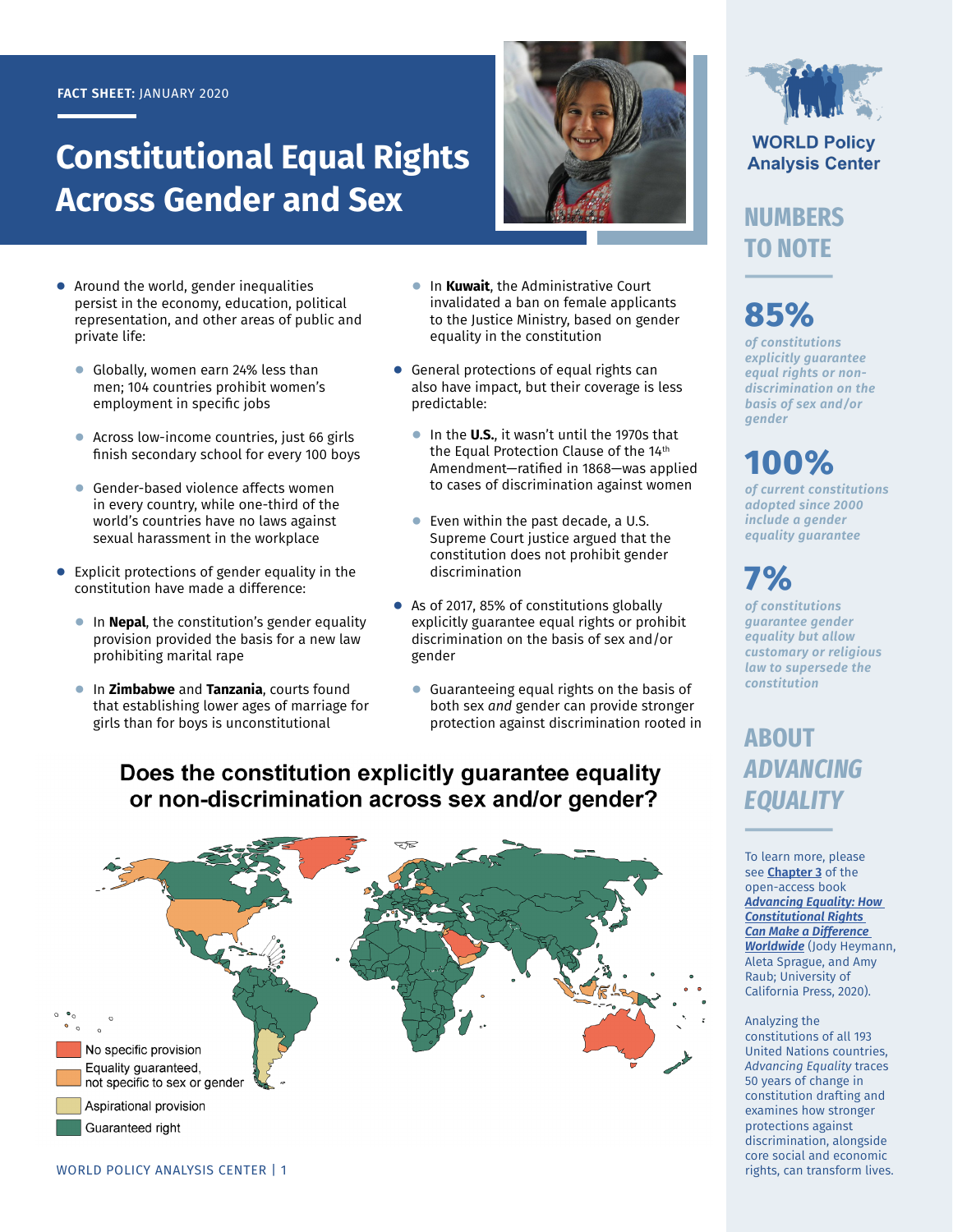#### **FACT SHEET:** JANUARY 2020

# **Constitutional Equal Rights Across Gender and Sex**



- **●** Around the world, gender inequalities persist in the economy, education, political representation, and other areas of public and private life:
	- **●** Globally, women earn 24% less than men; 104 countries prohibit women's employment in specific jobs
	- **●** Across low-income countries, just 66 girls finish secondary school for every 100 boys
	- **●** Gender-based violence affects women in every country, while one-third of the world's countries have no laws against sexual harassment in the workplace
- **●** Explicit protections of gender equality in the constitution have made a difference:
	- **●** In **Nepal**, the constitution's gender equality provision provided the basis for a new law prohibiting marital rape
	- **●** In **Zimbabwe** and **Tanzania**, courts found that establishing lower ages of marriage for girls than for boys is unconstitutional
- **●** In **Kuwait**, the Administrative Court invalidated a ban on female applicants to the Justice Ministry, based on gender equality in the constitution
- **●** General protections of equal rights can also have impact, but their coverage is less predictable:
	- **●** In the **U.S.**, it wasn't until the 1970s that the Equal Protection Clause of the 14<sup>th</sup> Amendment—ratified in 1868—was applied to cases of discrimination against women
	- **●** Even within the past decade, a U.S. Supreme Court justice argued that the constitution does not prohibit gender discrimination
- **●** As of 2017, 85% of constitutions globally explicitly guarantee equal rights or prohibit discrimination on the basis of sex and/or gender
	- **●** Guaranteeing equal rights on the basis of both sex *and* gender can provide stronger protection against discrimination rooted in

### Does the constitution explicitly guarantee equality or non-discrimination across sex and/or gender?





**WORLD Policy Analysis Center** 

### **NUMBERS TO NOTE**

# **85%**

*of constitutions explicitly guarantee equal rights or nondiscrimination on the basis of sex and/or gender*

## **100%**

*of current constitutions adopted since 2000 include a gender equality guarantee*

# **7%**

*of constitutions guarantee gender equality but allow customary or religious law to supersede the constitution*

### **ABOUT**  *ADVANCING EQUALITY*

To learn more, please see **[Chapter 3](https://doi.org/10.1525/luminos.81.d)** of the open-access book *[Advancing Equality: How](https://doi.org/10.1525/luminos.81)  [Constitutional Rights](https://doi.org/10.1525/luminos.81)  [Can Make a Difference](https://doi.org/10.1525/luminos.81)  [Worldwide](https://doi.org/10.1525/luminos.81)* (Jody Heymann, Aleta Sprague, and Amy Raub; University of California Press, 2020).

#### Analyzing the constitutions of all 193 United Nations countries, *Advancing Equality* traces 50 years of change in constitution drafting and examines how stronger protections against discrimination, alongside core social and economic rights, can transform lives.